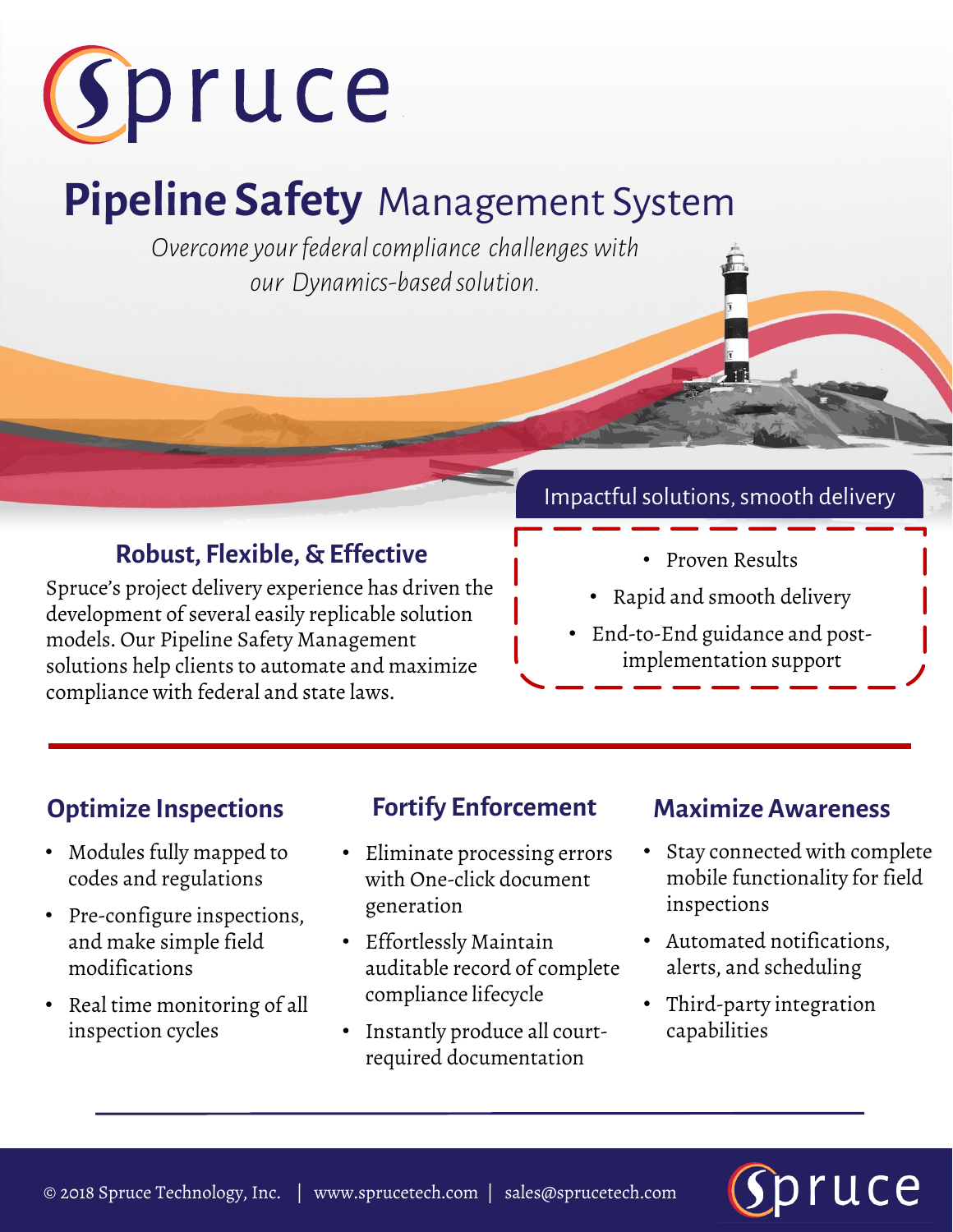

# **Pipeline Safety** Management System

*Overcome your federal compliance challenges with our Dynamics-based solution.* 

## **Robust, Flexible, & Effective**

Spruce's project delivery experience has driven the development of several easily replicable solution models. Our Pipeline Safety Management solutions help clients to automate and maximize compliance with federal and state laws.

### Impactful solutions, smooth delivery

- Proven Results
- Rapid and smooth delivery
- End-to-End guidance and postimplementation support

## **Optimize Inspections Fortify Enforcement Maximize Awareness**

- Modules fully mapped to codes and regulations
- Pre-configure inspections, and make simple field modifications
- Real time monitoring of all inspection cycles

- Eliminate processing errors with One-click document generation
- Effortlessly Maintain auditable record of complete compliance lifecycle
- Instantly produce all courtrequired documentation

- Stay connected with complete mobile functionality for field inspections
- Automated notifications, alerts, and scheduling
- Third-party integration capabilities